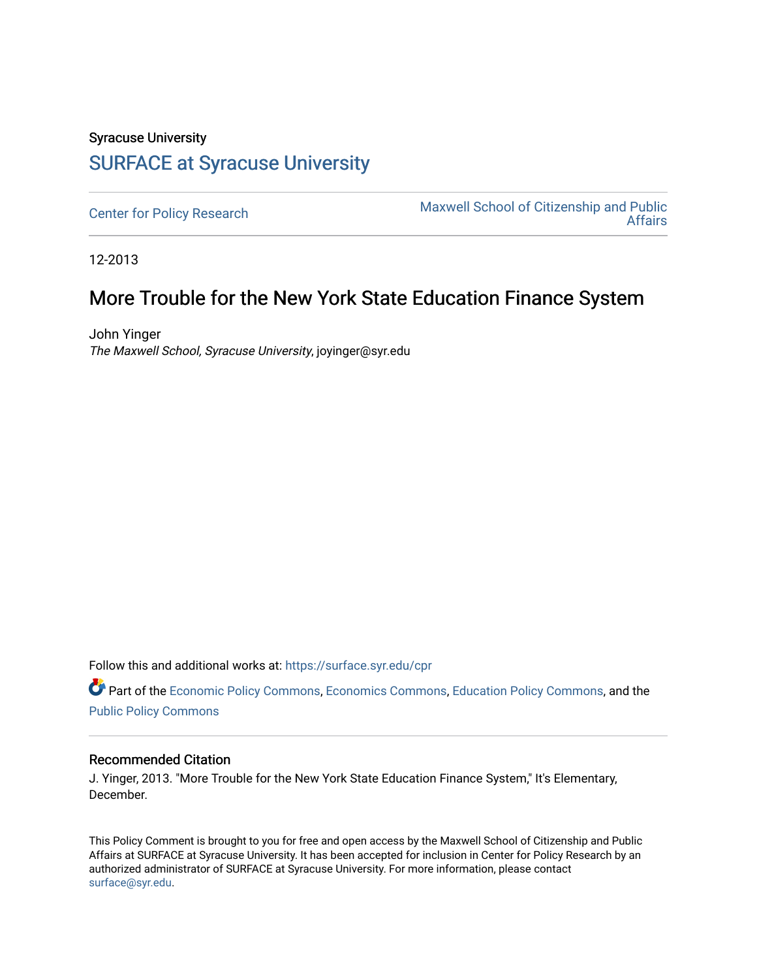## Syracuse University [SURFACE at Syracuse University](https://surface.syr.edu/)

[Center for Policy Research](https://surface.syr.edu/cpr) Maxwell School of Citizenship and Public<br>Affairs [Affairs](https://surface.syr.edu/maxwell) 

12-2013

## More Trouble for the New York State Education Finance System

John Yinger The Maxwell School, Syracuse University, joyinger@syr.edu

Follow this and additional works at: [https://surface.syr.edu/cpr](https://surface.syr.edu/cpr?utm_source=surface.syr.edu%2Fcpr%2F305&utm_medium=PDF&utm_campaign=PDFCoverPages) 

Part of the [Economic Policy Commons](http://network.bepress.com/hgg/discipline/1025?utm_source=surface.syr.edu%2Fcpr%2F305&utm_medium=PDF&utm_campaign=PDFCoverPages), [Economics Commons,](http://network.bepress.com/hgg/discipline/340?utm_source=surface.syr.edu%2Fcpr%2F305&utm_medium=PDF&utm_campaign=PDFCoverPages) [Education Policy Commons](http://network.bepress.com/hgg/discipline/1026?utm_source=surface.syr.edu%2Fcpr%2F305&utm_medium=PDF&utm_campaign=PDFCoverPages), and the [Public Policy Commons](http://network.bepress.com/hgg/discipline/400?utm_source=surface.syr.edu%2Fcpr%2F305&utm_medium=PDF&utm_campaign=PDFCoverPages)

## Recommended Citation

J. Yinger, 2013. "More Trouble for the New York State Education Finance System," It's Elementary, December.

This Policy Comment is brought to you for free and open access by the Maxwell School of Citizenship and Public Affairs at SURFACE at Syracuse University. It has been accepted for inclusion in Center for Policy Research by an authorized administrator of SURFACE at Syracuse University. For more information, please contact [surface@syr.edu.](mailto:surface@syr.edu)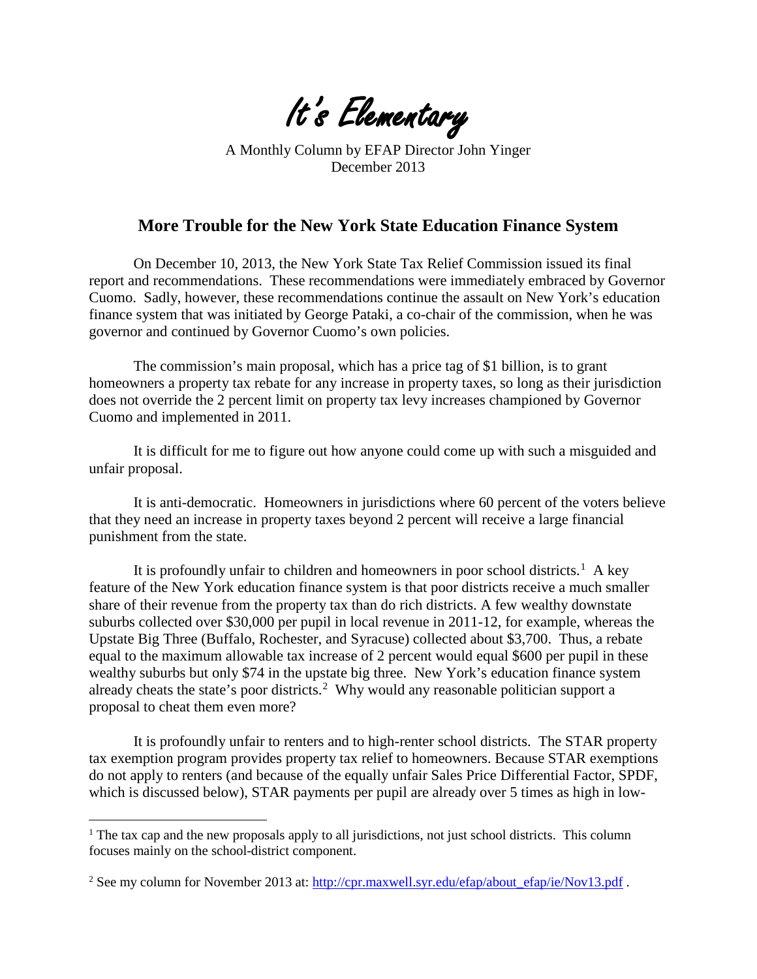It's Elementary

A Monthly Column by EFAP Director John Yinger December 2013

## **More Trouble for the New York State Education Finance System**

On December 10, 2013, the New York State Tax Relief Commission issued its final report and recommendations. These recommendations were immediately embraced by Governor Cuomo. Sadly, however, these recommendations continue the assault on New York's education finance system that was initiated by George Pataki, a co-chair of the commission, when he was governor and continued by Governor Cuomo's own policies.

The commission's main proposal, which has a price tag of \$1 billion, is to grant homeowners a property tax rebate for any increase in property taxes, so long as their jurisdiction does not override the 2 percent limit on property tax levy increases championed by Governor Cuomo and implemented in 2011.

It is difficult for me to figure out how anyone could come up with such a misguided and unfair proposal.

It is anti-democratic. Homeowners in jurisdictions where 60 percent of the voters believe that they need an increase in property taxes beyond 2 percent will receive a large financial punishment from the state.

It is profoundly unfair to children and homeowners in poor school districts.<sup>[1](#page-1-0)</sup> A key feature of the New York education finance system is that poor districts receive a much smaller share of their revenue from the property tax than do rich districts. A few wealthy downstate suburbs collected over \$30,000 per pupil in local revenue in 2011-12, for example, whereas the Upstate Big Three (Buffalo, Rochester, and Syracuse) collected about \$3,700. Thus, a rebate equal to the maximum allowable tax increase of 2 percent would equal \$600 per pupil in these wealthy suburbs but only \$74 in the upstate big three. New York's education finance system already cheats the state's poor districts.<sup>[2](#page-1-1)</sup> Why would any reasonable politician support a proposal to cheat them even more?

It is profoundly unfair to renters and to high-renter school districts. The STAR property tax exemption program provides property tax relief to homeowners. Because STAR exemptions do not apply to renters (and because of the equally unfair Sales Price Differential Factor, SPDF, which is discussed below), STAR payments per pupil are already over 5 times as high in low-

<span id="page-1-0"></span><sup>&</sup>lt;sup>1</sup> The tax cap and the new proposals apply to all jurisdictions, not just school districts. This column focuses mainly on the school-district component.

<span id="page-1-1"></span><sup>&</sup>lt;sup>2</sup> See my column for November 2013 at: http://cpr.maxwell.syr.edu/efap/about\_efap/ie/Nov13.pdf.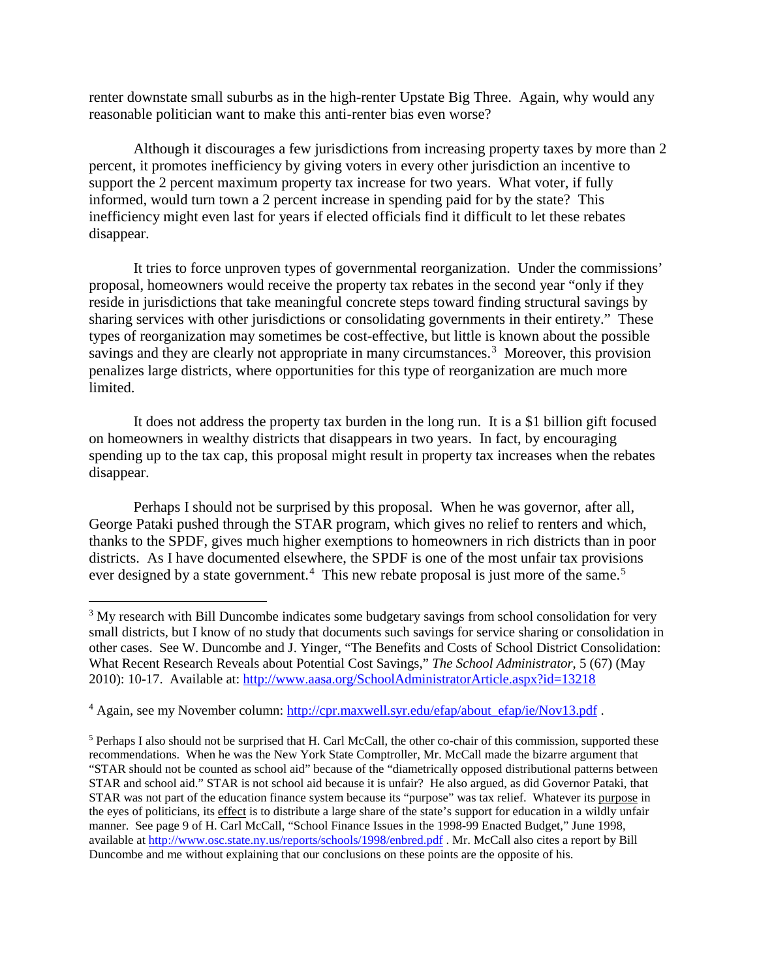renter downstate small suburbs as in the high-renter Upstate Big Three. Again, why would any reasonable politician want to make this anti-renter bias even worse?

Although it discourages a few jurisdictions from increasing property taxes by more than 2 percent, it promotes inefficiency by giving voters in every other jurisdiction an incentive to support the 2 percent maximum property tax increase for two years. What voter, if fully informed, would turn town a 2 percent increase in spending paid for by the state? This inefficiency might even last for years if elected officials find it difficult to let these rebates disappear.

It tries to force unproven types of governmental reorganization. Under the commissions' proposal, homeowners would receive the property tax rebates in the second year "only if they reside in jurisdictions that take meaningful concrete steps toward finding structural savings by sharing services with other jurisdictions or consolidating governments in their entirety." These types of reorganization may sometimes be cost-effective, but little is known about the possible savings and they are clearly not appropriate in many circumstances.<sup>[3](#page-2-0)</sup> Moreover, this provision penalizes large districts, where opportunities for this type of reorganization are much more limited.

It does not address the property tax burden in the long run. It is a \$1 billion gift focused on homeowners in wealthy districts that disappears in two years. In fact, by encouraging spending up to the tax cap, this proposal might result in property tax increases when the rebates disappear.

Perhaps I should not be surprised by this proposal. When he was governor, after all, George Pataki pushed through the STAR program, which gives no relief to renters and which, thanks to the SPDF, gives much higher exemptions to homeowners in rich districts than in poor districts. As I have documented elsewhere, the SPDF is one of the most unfair tax provisions ever designed by a state government.<sup>[4](#page-2-1)</sup> This new rebate proposal is just more of the same.<sup>[5](#page-2-2)</sup>

<span id="page-2-0"></span><sup>&</sup>lt;sup>3</sup> My research with Bill Duncombe indicates some budgetary savings from school consolidation for very small districts, but I know of no study that documents such savings for service sharing or consolidation in other cases. See W. Duncombe and J. Yinger, "The Benefits and Costs of School District Consolidation: What Recent Research Reveals about Potential Cost Savings," *The School Administrator*, 5 (67) (May 2010): 10-17. Available at:<http://www.aasa.org/SchoolAdministratorArticle.aspx?id=13218>

<span id="page-2-1"></span><sup>&</sup>lt;sup>4</sup> Again, see my November column: [http://cpr.maxwell.syr.edu/efap/about\\_efap/ie/Nov13.pdf](http://cpr.maxwell.syr.edu/efap/about_efap/ie/Nov13.pdf) .

<span id="page-2-2"></span><sup>&</sup>lt;sup>5</sup> Perhaps I also should not be surprised that H. Carl McCall, the other co-chair of this commission, supported these recommendations. When he was the New York State Comptroller, Mr. McCall made the bizarre argument that "STAR should not be counted as school aid" because of the "diametrically opposed distributional patterns between STAR and school aid." STAR is not school aid because it is unfair? He also argued, as did Governor Pataki, that STAR was not part of the education finance system because its "purpose" was tax relief. Whatever its purpose in the eyes of politicians, its effect is to distribute a large share of the state's support for education in a wildly unfair manner. See page 9 of H. Carl McCall, "School Finance Issues in the 1998-99 Enacted Budget," June 1998, available at [http://www.osc.state.ny.us/reports/schools/1998/enbred.pdf .](http://www.osc.state.ny.us/reports/schools/1998/enbred.pdf) Mr. McCall also cites a report by Bill Duncombe and me without explaining that our conclusions on these points are the opposite of his.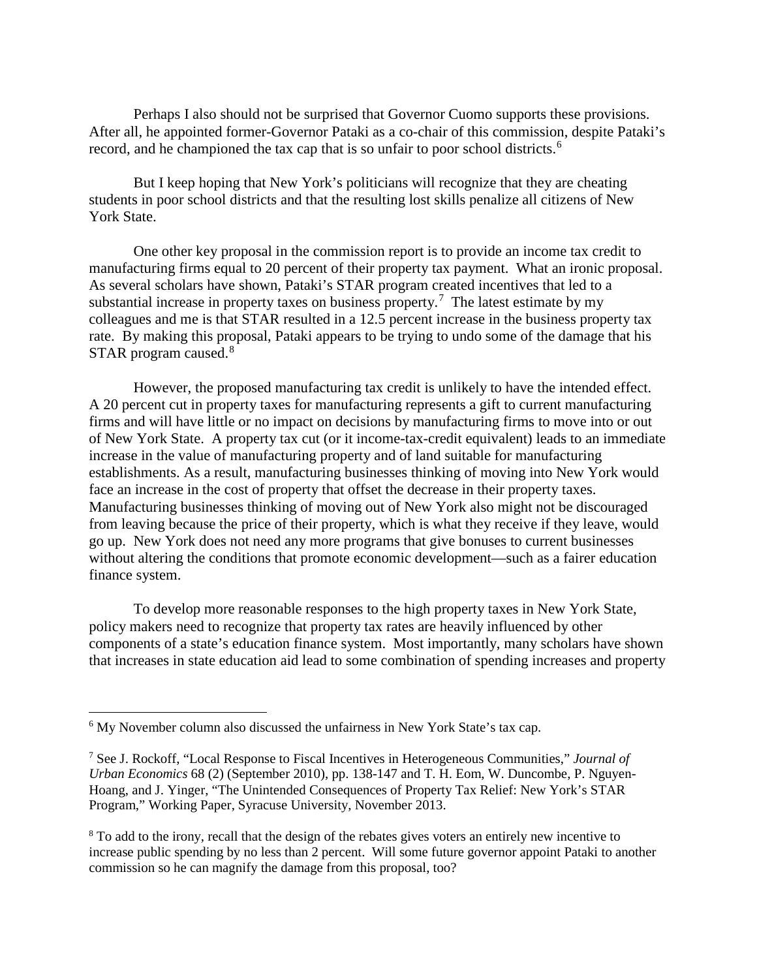Perhaps I also should not be surprised that Governor Cuomo supports these provisions. After all, he appointed former-Governor Pataki as a co-chair of this commission, despite Pataki's record, and he championed the tax cap that is so unfair to poor school districts.<sup>[6](#page-3-0)</sup>

But I keep hoping that New York's politicians will recognize that they are cheating students in poor school districts and that the resulting lost skills penalize all citizens of New York State.

One other key proposal in the commission report is to provide an income tax credit to manufacturing firms equal to 20 percent of their property tax payment. What an ironic proposal. As several scholars have shown, Pataki's STAR program created incentives that led to a substantial increase in property taxes on business property.<sup>[7](#page-3-1)</sup> The latest estimate by my colleagues and me is that STAR resulted in a 12.5 percent increase in the business property tax rate. By making this proposal, Pataki appears to be trying to undo some of the damage that his STAR program caused.<sup>[8](#page-3-2)</sup>

However, the proposed manufacturing tax credit is unlikely to have the intended effect. A 20 percent cut in property taxes for manufacturing represents a gift to current manufacturing firms and will have little or no impact on decisions by manufacturing firms to move into or out of New York State. A property tax cut (or it income-tax-credit equivalent) leads to an immediate increase in the value of manufacturing property and of land suitable for manufacturing establishments. As a result, manufacturing businesses thinking of moving into New York would face an increase in the cost of property that offset the decrease in their property taxes. Manufacturing businesses thinking of moving out of New York also might not be discouraged from leaving because the price of their property, which is what they receive if they leave, would go up. New York does not need any more programs that give bonuses to current businesses without altering the conditions that promote economic development—such as a fairer education finance system.

To develop more reasonable responses to the high property taxes in New York State, policy makers need to recognize that property tax rates are heavily influenced by other components of a state's education finance system. Most importantly, many scholars have shown that increases in state education aid lead to some combination of spending increases and property

<span id="page-3-0"></span><sup>&</sup>lt;sup>6</sup> My November column also discussed the unfairness in New York State's tax cap.

<span id="page-3-1"></span><sup>7</sup> See J. Rockoff, "Local Response to Fiscal Incentives in Heterogeneous Communities," *Journal of Urban Economics* 68 (2) (September 2010), pp. 138-147 and T. H. Eom, W. Duncombe, P. Nguyen-Hoang, and J. Yinger, "The Unintended Consequences of Property Tax Relief: New York's STAR Program," Working Paper, Syracuse University, November 2013.

<span id="page-3-2"></span><sup>&</sup>lt;sup>8</sup> To add to the irony, recall that the design of the rebates gives voters an entirely new incentive to increase public spending by no less than 2 percent. Will some future governor appoint Pataki to another commission so he can magnify the damage from this proposal, too?